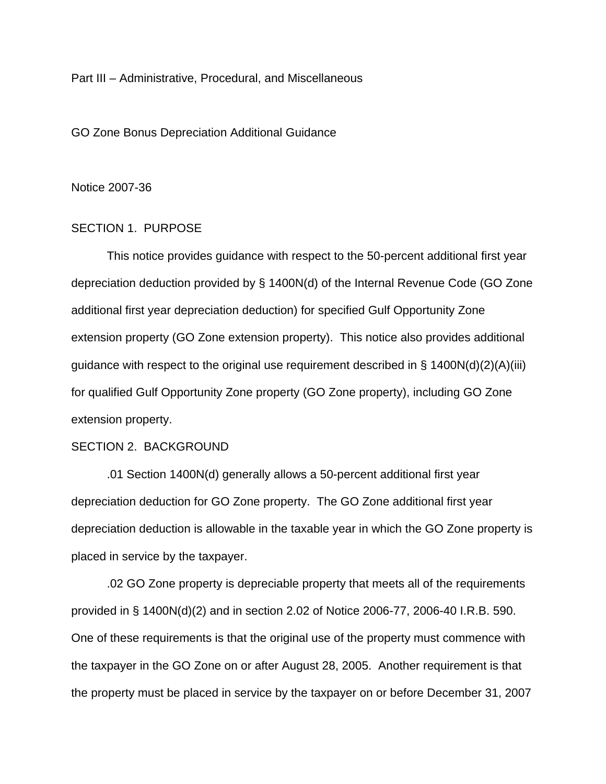Part III – Administrative, Procedural, and Miscellaneous

GO Zone Bonus Depreciation Additional Guidance

#### Notice 2007-36

### SECTION 1. PURPOSE

 This notice provides guidance with respect to the 50-percent additional first year depreciation deduction provided by § 1400N(d) of the Internal Revenue Code (GO Zone additional first year depreciation deduction) for specified Gulf Opportunity Zone extension property (GO Zone extension property). This notice also provides additional guidance with respect to the original use requirement described in § 1400N(d)(2)(A)(iii) for qualified Gulf Opportunity Zone property (GO Zone property), including GO Zone extension property.

### SECTION 2. BACKGROUND

 .01 Section 1400N(d) generally allows a 50-percent additional first year depreciation deduction for GO Zone property. The GO Zone additional first year depreciation deduction is allowable in the taxable year in which the GO Zone property is placed in service by the taxpayer.

 .02 GO Zone property is depreciable property that meets all of the requirements provided in § 1400N(d)(2) and in section 2.02 of Notice 2006-77, 2006-40 I.R.B. 590. One of these requirements is that the original use of the property must commence with the taxpayer in the GO Zone on or after August 28, 2005. Another requirement is that the property must be placed in service by the taxpayer on or before December 31, 2007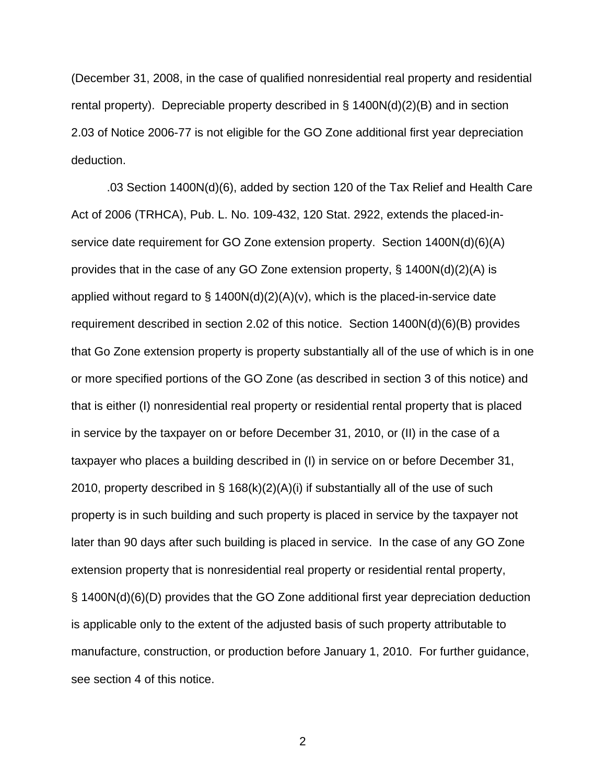(December 31, 2008, in the case of qualified nonresidential real property and residential rental property). Depreciable property described in § 1400N(d)(2)(B) and in section 2.03 of Notice 2006-77 is not eligible for the GO Zone additional first year depreciation deduction.

.03 Section 1400N(d)(6), added by section 120 of the Tax Relief and Health Care Act of 2006 (TRHCA), Pub. L. No. 109-432, 120 Stat. 2922, extends the placed-inservice date requirement for GO Zone extension property. Section 1400N(d)(6)(A) provides that in the case of any GO Zone extension property, § 1400N(d)(2)(A) is applied without regard to  $\S$  1400N(d)(2)(A)(v), which is the placed-in-service date requirement described in section 2.02 of this notice. Section 1400N(d)(6)(B) provides that Go Zone extension property is property substantially all of the use of which is in one or more specified portions of the GO Zone (as described in section 3 of this notice) and that is either (I) nonresidential real property or residential rental property that is placed in service by the taxpayer on or before December 31, 2010, or (II) in the case of a taxpayer who places a building described in (I) in service on or before December 31, 2010, property described in § 168(k)(2)(A)(i) if substantially all of the use of such property is in such building and such property is placed in service by the taxpayer not later than 90 days after such building is placed in service. In the case of any GO Zone extension property that is nonresidential real property or residential rental property, § 1400N(d)(6)(D) provides that the GO Zone additional first year depreciation deduction is applicable only to the extent of the adjusted basis of such property attributable to manufacture, construction, or production before January 1, 2010. For further guidance, see section 4 of this notice.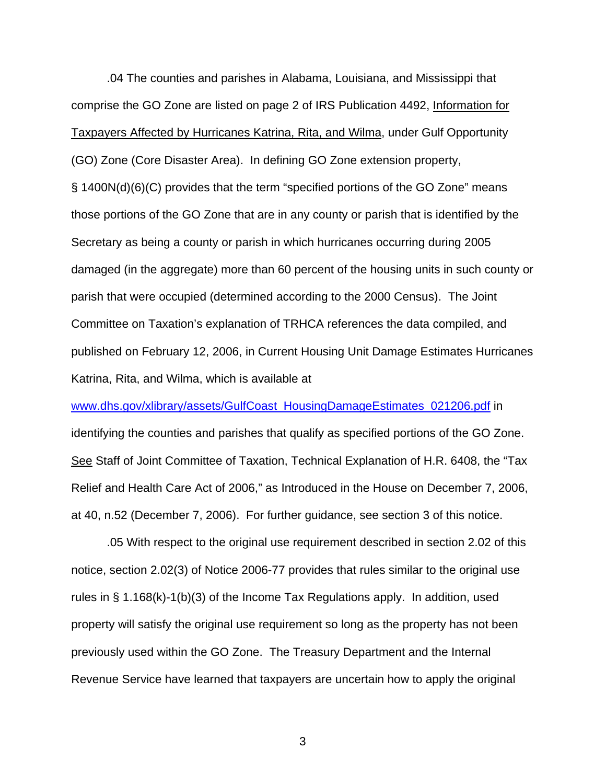.04 The counties and parishes in Alabama, Louisiana, and Mississippi that comprise the GO Zone are listed on page 2 of IRS Publication 4492, Information for Taxpayers Affected by Hurricanes Katrina, Rita, and Wilma, under Gulf Opportunity (GO) Zone (Core Disaster Area). In defining GO Zone extension property, § 1400N(d)(6)(C) provides that the term "specified portions of the GO Zone" means those portions of the GO Zone that are in any county or parish that is identified by the Secretary as being a county or parish in which hurricanes occurring during 2005 damaged (in the aggregate) more than 60 percent of the housing units in such county or parish that were occupied (determined according to the 2000 Census). The Joint Committee on Taxation's explanation of TRHCA references the data compiled, and published on February 12, 2006, in Current Housing Unit Damage Estimates Hurricanes Katrina, Rita, and Wilma, which is available at

www.dhs.gov/xlibrary/assets/GulfCoast\_HousingDamageEstimates\_021206.pdf in identifying the counties and parishes that qualify as specified portions of the GO Zone. See Staff of Joint Committee of Taxation, Technical Explanation of H.R. 6408, the "Tax Relief and Health Care Act of 2006," as Introduced in the House on December 7, 2006, at 40, n.52 (December 7, 2006). For further guidance, see section 3 of this notice.

.05 With respect to the original use requirement described in section 2.02 of this notice, section 2.02(3) of Notice 2006-77 provides that rules similar to the original use rules in § 1.168(k)-1(b)(3) of the Income Tax Regulations apply. In addition, used property will satisfy the original use requirement so long as the property has not been previously used within the GO Zone. The Treasury Department and the Internal Revenue Service have learned that taxpayers are uncertain how to apply the original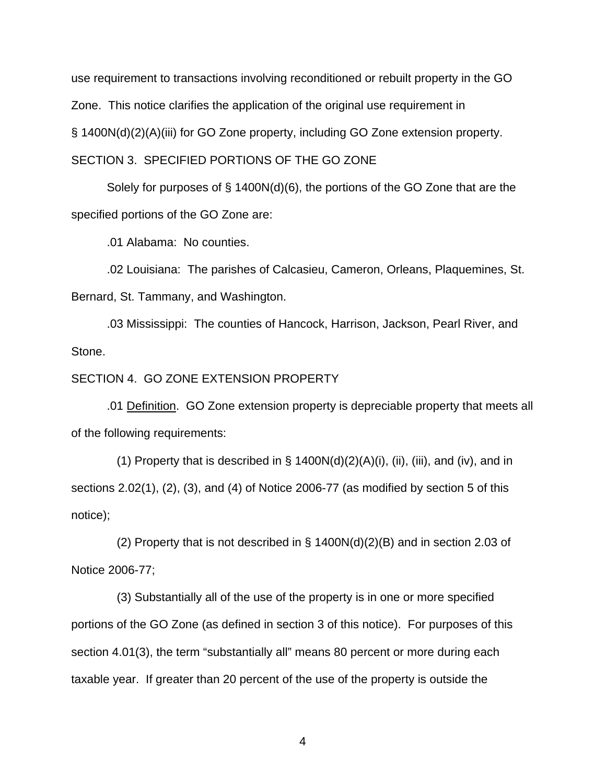use requirement to transactions involving reconditioned or rebuilt property in the GO Zone. This notice clarifies the application of the original use requirement in § 1400N(d)(2)(A)(iii) for GO Zone property, including GO Zone extension property. SECTION 3. SPECIFIED PORTIONS OF THE GO ZONE

Solely for purposes of § 1400N(d)(6), the portions of the GO Zone that are the specified portions of the GO Zone are:

.01 Alabama: No counties.

.02 Louisiana: The parishes of Calcasieu, Cameron, Orleans, Plaquemines, St. Bernard, St. Tammany, and Washington.

.03 Mississippi: The counties of Hancock, Harrison, Jackson, Pearl River, and Stone.

#### SECTION 4. GO ZONE EXTENSION PROPERTY

 .01 Definition. GO Zone extension property is depreciable property that meets all of the following requirements:

(1) Property that is described in  $\S$  1400N(d)(2)(A)(i), (ii), (iii), and (iv), and in sections 2.02(1), (2), (3), and (4) of Notice 2006-77 (as modified by section 5 of this notice);

(2) Property that is not described in  $\S$  1400N(d)(2)(B) and in section 2.03 of Notice 2006-77;

 (3) Substantially all of the use of the property is in one or more specified portions of the GO Zone (as defined in section 3 of this notice). For purposes of this section 4.01(3), the term "substantially all" means 80 percent or more during each taxable year. If greater than 20 percent of the use of the property is outside the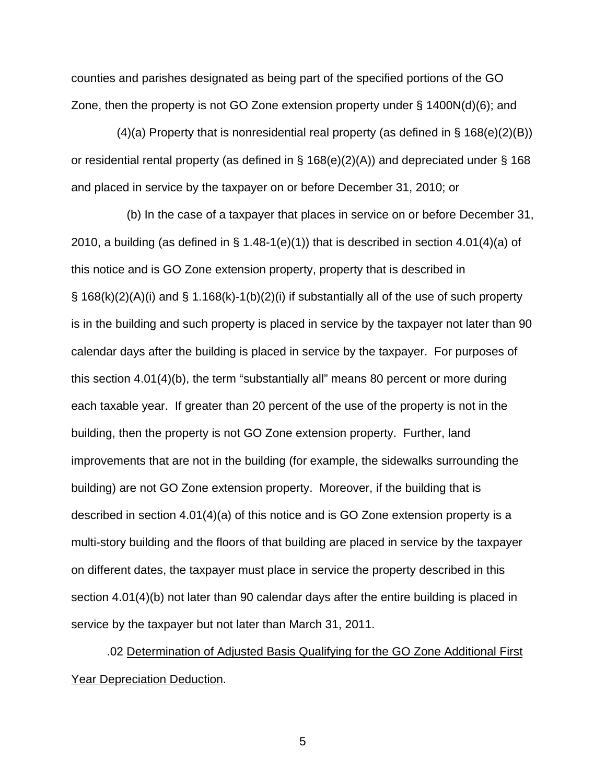counties and parishes designated as being part of the specified portions of the GO Zone, then the property is not GO Zone extension property under § 1400N(d)(6); and

(4)(a) Property that is nonresidential real property (as defined in  $\S$  168(e)(2)(B)) or residential rental property (as defined in § 168(e)(2)(A)) and depreciated under § 168 and placed in service by the taxpayer on or before December 31, 2010; or

 (b) In the case of a taxpayer that places in service on or before December 31, 2010, a building (as defined in  $\S$  1.48-1(e)(1)) that is described in section 4.01(4)(a) of this notice and is GO Zone extension property, property that is described in  $\S$  168(k)(2)(A)(i) and  $\S$  1.168(k)-1(b)(2)(i) if substantially all of the use of such property is in the building and such property is placed in service by the taxpayer not later than 90 calendar days after the building is placed in service by the taxpayer. For purposes of this section 4.01(4)(b), the term "substantially all" means 80 percent or more during each taxable year. If greater than 20 percent of the use of the property is not in the building, then the property is not GO Zone extension property. Further, land improvements that are not in the building (for example, the sidewalks surrounding the building) are not GO Zone extension property. Moreover, if the building that is described in section 4.01(4)(a) of this notice and is GO Zone extension property is a multi-story building and the floors of that building are placed in service by the taxpayer on different dates, the taxpayer must place in service the property described in this section 4.01(4)(b) not later than 90 calendar days after the entire building is placed in service by the taxpayer but not later than March 31, 2011.

.02 Determination of Adjusted Basis Qualifying for the GO Zone Additional First Year Depreciation Deduction.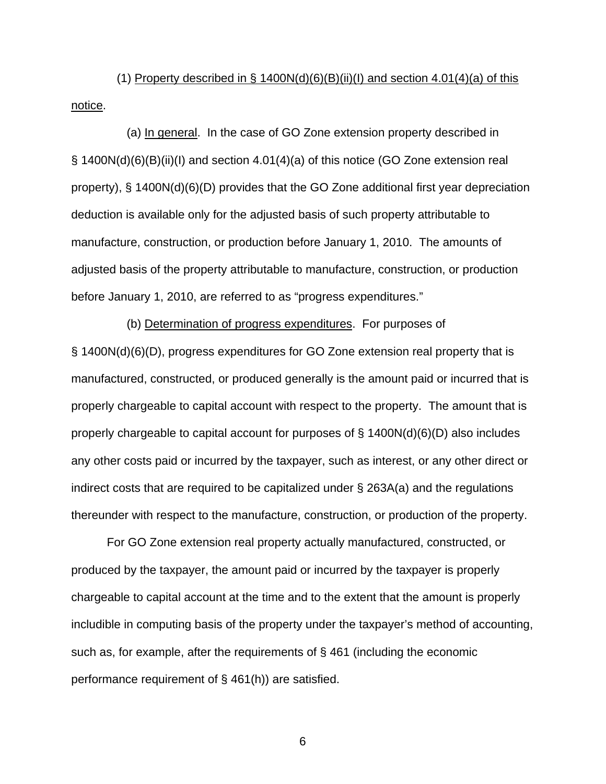(1) Property described in  $\S$  1400N(d)(6)(B)(ii)(l) and section 4.01(4)(a) of this notice.

 (a) In general. In the case of GO Zone extension property described in § 1400N(d)(6)(B)(ii)(I) and section 4.01(4)(a) of this notice (GO Zone extension real property), § 1400N(d)(6)(D) provides that the GO Zone additional first year depreciation deduction is available only for the adjusted basis of such property attributable to manufacture, construction, or production before January 1, 2010. The amounts of adjusted basis of the property attributable to manufacture, construction, or production before January 1, 2010, are referred to as "progress expenditures."

 (b) Determination of progress expenditures. For purposes of § 1400N(d)(6)(D), progress expenditures for GO Zone extension real property that is manufactured, constructed, or produced generally is the amount paid or incurred that is properly chargeable to capital account with respect to the property. The amount that is properly chargeable to capital account for purposes of § 1400N(d)(6)(D) also includes any other costs paid or incurred by the taxpayer, such as interest, or any other direct or indirect costs that are required to be capitalized under § 263A(a) and the regulations thereunder with respect to the manufacture, construction, or production of the property.

 For GO Zone extension real property actually manufactured, constructed, or produced by the taxpayer, the amount paid or incurred by the taxpayer is properly chargeable to capital account at the time and to the extent that the amount is properly includible in computing basis of the property under the taxpayer's method of accounting, such as, for example, after the requirements of § 461 (including the economic performance requirement of § 461(h)) are satisfied.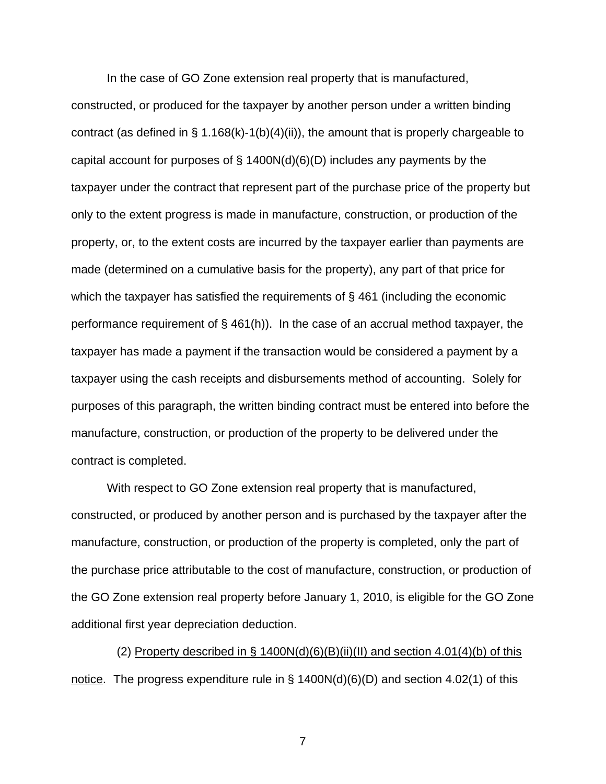In the case of GO Zone extension real property that is manufactured,

constructed, or produced for the taxpayer by another person under a written binding contract (as defined in  $\S$  1.168(k)-1(b)(4)(ii)), the amount that is properly chargeable to capital account for purposes of  $\S$  1400N(d)(6)(D) includes any payments by the taxpayer under the contract that represent part of the purchase price of the property but only to the extent progress is made in manufacture, construction, or production of the property, or, to the extent costs are incurred by the taxpayer earlier than payments are made (determined on a cumulative basis for the property), any part of that price for which the taxpayer has satisfied the requirements of §461 (including the economic performance requirement of § 461(h)). In the case of an accrual method taxpayer, the taxpayer has made a payment if the transaction would be considered a payment by a taxpayer using the cash receipts and disbursements method of accounting. Solely for purposes of this paragraph, the written binding contract must be entered into before the manufacture, construction, or production of the property to be delivered under the contract is completed.

 With respect to GO Zone extension real property that is manufactured, constructed, or produced by another person and is purchased by the taxpayer after the manufacture, construction, or production of the property is completed, only the part of the purchase price attributable to the cost of manufacture, construction, or production of the GO Zone extension real property before January 1, 2010, is eligible for the GO Zone additional first year depreciation deduction.

(2) Property described in § 1400N(d)(6)(B)(ii)(II) and section 4.01(4)(b) of this notice. The progress expenditure rule in § 1400N(d)(6)(D) and section 4.02(1) of this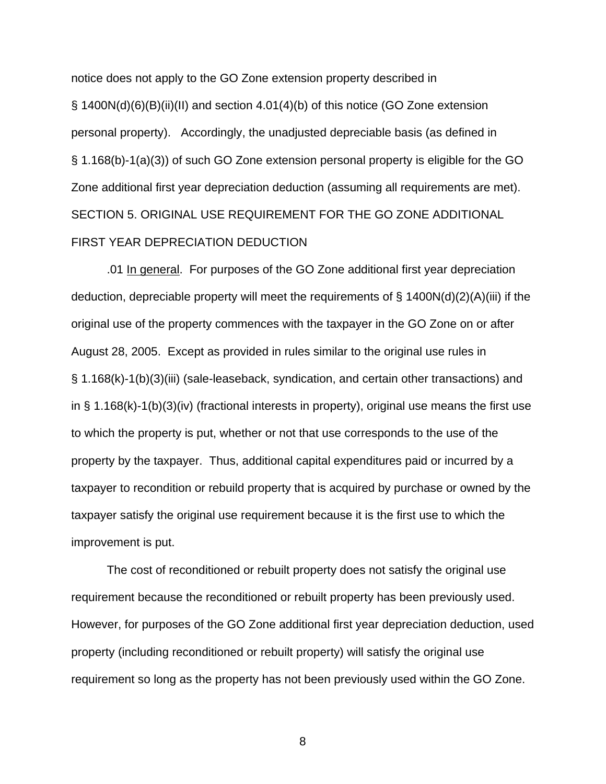notice does not apply to the GO Zone extension property described in § 1400N(d)(6)(B)(ii)(II) and section 4.01(4)(b) of this notice (GO Zone extension personal property). Accordingly, the unadjusted depreciable basis (as defined in § 1.168(b)-1(a)(3)) of such GO Zone extension personal property is eligible for the GO Zone additional first year depreciation deduction (assuming all requirements are met). SECTION 5. ORIGINAL USE REQUIREMENT FOR THE GO ZONE ADDITIONAL FIRST YEAR DEPRECIATION DEDUCTION

.01 In general. For purposes of the GO Zone additional first year depreciation deduction, depreciable property will meet the requirements of  $\S$  1400N(d)(2)(A)(iii) if the original use of the property commences with the taxpayer in the GO Zone on or after August 28, 2005. Except as provided in rules similar to the original use rules in § 1.168(k)-1(b)(3)(iii) (sale-leaseback, syndication, and certain other transactions) and in § 1.168(k)-1(b)(3)(iv) (fractional interests in property), original use means the first use to which the property is put, whether or not that use corresponds to the use of the property by the taxpayer. Thus, additional capital expenditures paid or incurred by a taxpayer to recondition or rebuild property that is acquired by purchase or owned by the taxpayer satisfy the original use requirement because it is the first use to which the improvement is put.

The cost of reconditioned or rebuilt property does not satisfy the original use requirement because the reconditioned or rebuilt property has been previously used. However, for purposes of the GO Zone additional first year depreciation deduction, used property (including reconditioned or rebuilt property) will satisfy the original use requirement so long as the property has not been previously used within the GO Zone.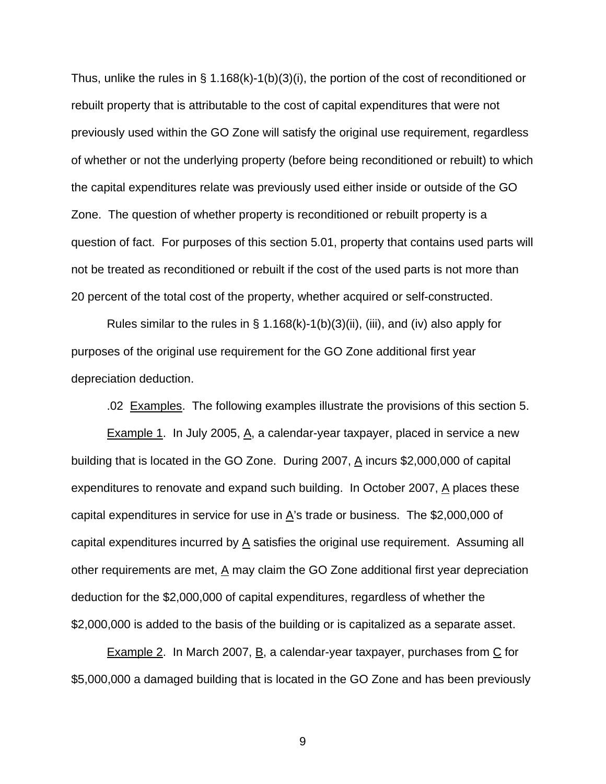Thus, unlike the rules in § 1.168(k)-1(b)(3)(i), the portion of the cost of reconditioned or rebuilt property that is attributable to the cost of capital expenditures that were not previously used within the GO Zone will satisfy the original use requirement, regardless of whether or not the underlying property (before being reconditioned or rebuilt) to which the capital expenditures relate was previously used either inside or outside of the GO Zone. The question of whether property is reconditioned or rebuilt property is a question of fact. For purposes of this section 5.01, property that contains used parts will not be treated as reconditioned or rebuilt if the cost of the used parts is not more than 20 percent of the total cost of the property, whether acquired or self-constructed.

Rules similar to the rules in  $\S$  1.168(k)-1(b)(3)(ii), (iii), and (iv) also apply for purposes of the original use requirement for the GO Zone additional first year depreciation deduction.

.02 Examples. The following examples illustrate the provisions of this section 5.

Example 1. In July 2005, A, a calendar-year taxpayer, placed in service a new building that is located in the GO Zone. During 2007,  $\underline{A}$  incurs \$2,000,000 of capital expenditures to renovate and expand such building. In October 2007,  $\Delta$  places these capital expenditures in service for use in  $A$ 's trade or business. The \$2,000,000 of capital expenditures incurred by  $\underline{A}$  satisfies the original use requirement. Assuming all other requirements are met,  $\underline{A}$  may claim the GO Zone additional first year depreciation deduction for the \$2,000,000 of capital expenditures, regardless of whether the \$2,000,000 is added to the basis of the building or is capitalized as a separate asset.

Example 2. In March 2007,  $\underline{B}$ , a calendar-year taxpayer, purchases from  $\underline{C}$  for \$5,000,000 a damaged building that is located in the GO Zone and has been previously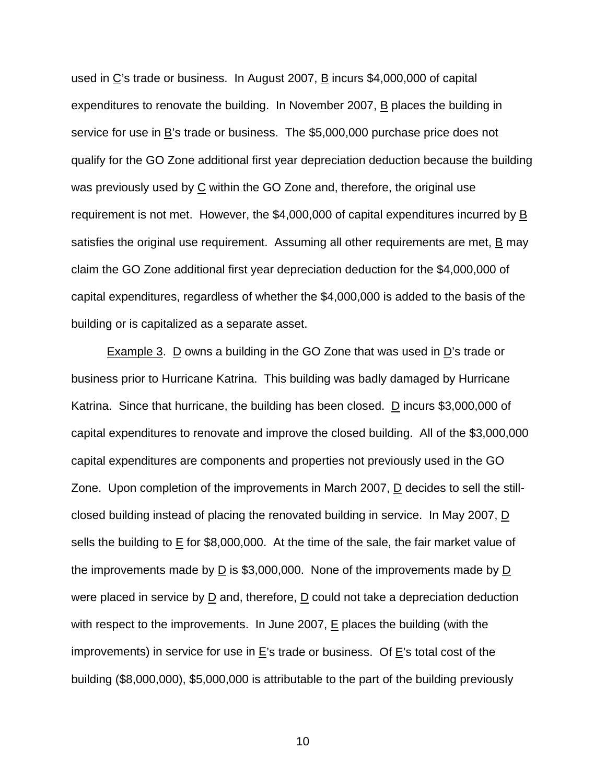used in  $C$ 's trade or business. In August 2007,  $\overline{B}$  incurs \$4,000,000 of capital expenditures to renovate the building. In November 2007, B places the building in service for use in B's trade or business. The \$5,000,000 purchase price does not qualify for the GO Zone additional first year depreciation deduction because the building was previously used by  $C$  within the GO Zone and, therefore, the original use requirement is not met. However, the \$4,000,000 of capital expenditures incurred by  $\underline{B}$ satisfies the original use requirement. Assuming all other requirements are met, B may claim the GO Zone additional first year depreciation deduction for the \$4,000,000 of capital expenditures, regardless of whether the \$4,000,000 is added to the basis of the building or is capitalized as a separate asset.

**Example 3. D owns a building in the GO Zone that was used in**  $D$ **'s trade or** business prior to Hurricane Katrina. This building was badly damaged by Hurricane Katrina. Since that hurricane, the building has been closed. D incurs \$3,000,000 of capital expenditures to renovate and improve the closed building. All of the \$3,000,000 capital expenditures are components and properties not previously used in the GO Zone. Upon completion of the improvements in March 2007, D decides to sell the stillclosed building instead of placing the renovated building in service. In May 2007,  $\underline{D}$ sells the building to E for \$8,000,000. At the time of the sale, the fair market value of the improvements made by  $\underline{D}$  is \$3,000,000. None of the improvements made by  $\underline{D}$ were placed in service by  $\underline{D}$  and, therefore,  $\underline{D}$  could not take a depreciation deduction with respect to the improvements. In June 2007,  $E$  places the building (with the improvements) in service for use in  $E$ 's trade or business. Of  $E$ 's total cost of the building (\$8,000,000), \$5,000,000 is attributable to the part of the building previously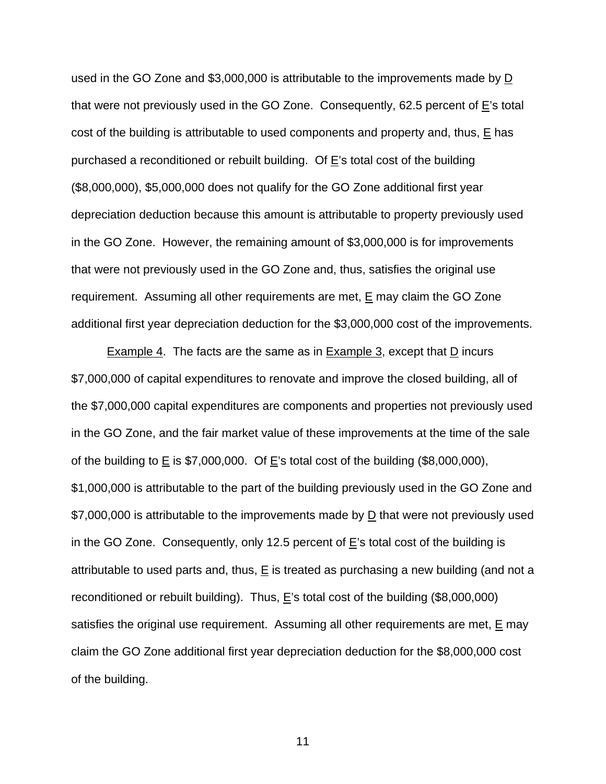used in the GO Zone and \$3,000,000 is attributable to the improvements made by D that were not previously used in the GO Zone. Consequently, 62.5 percent of E's total cost of the building is attributable to used components and property and, thus, E has purchased a reconditioned or rebuilt building. Of  $E$ 's total cost of the building (\$8,000,000), \$5,000,000 does not qualify for the GO Zone additional first year depreciation deduction because this amount is attributable to property previously used in the GO Zone. However, the remaining amount of \$3,000,000 is for improvements that were not previously used in the GO Zone and, thus, satisfies the original use requirement. Assuming all other requirements are met,  $E$  may claim the GO Zone additional first year depreciation deduction for the \$3,000,000 cost of the improvements.

**Example 4.** The facts are the same as in **Example 3**, except that  $\overline{D}$  incurs \$7,000,000 of capital expenditures to renovate and improve the closed building, all of the \$7,000,000 capital expenditures are components and properties not previously used in the GO Zone, and the fair market value of these improvements at the time of the sale of the building to  $E$  is \$7,000,000. Of  $E$ 's total cost of the building (\$8,000,000), \$1,000,000 is attributable to the part of the building previously used in the GO Zone and \$7,000,000 is attributable to the improvements made by  $\underline{D}$  that were not previously used in the GO Zone. Consequently, only 12.5 percent of E's total cost of the building is attributable to used parts and, thus,  $E$  is treated as purchasing a new building (and not a reconditioned or rebuilt building). Thus,  $E$ 's total cost of the building (\$8,000,000) satisfies the original use requirement. Assuming all other requirements are met,  $E$  may claim the GO Zone additional first year depreciation deduction for the \$8,000,000 cost of the building.